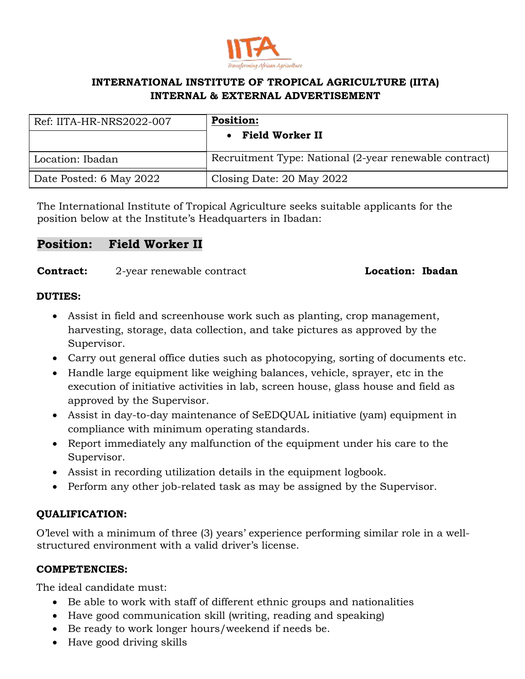

# **INTERNATIONAL INSTITUTE OF TROPICAL AGRICULTURE (IITA) INTERNAL & EXTERNAL ADVERTISEMENT**

| Ref: IITA-HR-NRS2022-007 | <b>Position:</b><br>• Field Worker II                  |
|--------------------------|--------------------------------------------------------|
| Location: Ibadan         | Recruitment Type: National (2-year renewable contract) |
| Date Posted: 6 May 2022  | Closing Date: 20 May 2022                              |

The International Institute of Tropical Agriculture seeks suitable applicants for the position below at the Institute's Headquarters in Ibadan:

# **Position: Field Worker II**

**Contract:** 2-year renewable contract **Location: Ibadan** 

#### **DUTIES:**

- Assist in field and screenhouse work such as planting, crop management, harvesting, storage, data collection, and take pictures as approved by the Supervisor.
- Carry out general office duties such as photocopying, sorting of documents etc.
- Handle large equipment like weighing balances, vehicle, sprayer, etc in the execution of initiative activities in lab, screen house, glass house and field as approved by the Supervisor.
- Assist in day-to-day maintenance of SeEDQUAL initiative (yam) equipment in compliance with minimum operating standards.
- Report immediately any malfunction of the equipment under his care to the Supervisor.
- Assist in recording utilization details in the equipment logbook.
- Perform any other job-related task as may be assigned by the Supervisor.

# **QUALIFICATION:**

O'level with a minimum of three (3) years' experience performing similar role in a wellstructured environment with a valid driver's license.

## **COMPETENCIES:**

The ideal candidate must:

- Be able to work with staff of different ethnic groups and nationalities
- Have good communication skill (writing, reading and speaking)
- Be ready to work longer hours/weekend if needs be.
- Have good driving skills